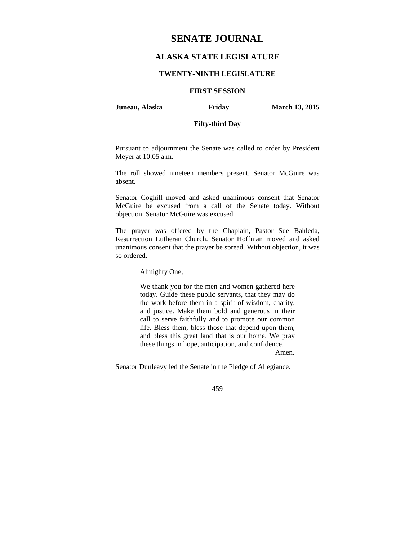# **SENATE JOURNAL**

# **ALASKA STATE LEGISLATURE**

## **TWENTY-NINTH LEGISLATURE**

## **FIRST SESSION**

#### **Juneau, Alaska Friday March 13, 2015**

# **Fifty-third Day**

Pursuant to adjournment the Senate was called to order by President Meyer at 10:05 a.m.

The roll showed nineteen members present. Senator McGuire was absent.

Senator Coghill moved and asked unanimous consent that Senator McGuire be excused from a call of the Senate today. Without objection, Senator McGuire was excused.

The prayer was offered by the Chaplain, Pastor Sue Bahleda, Resurrection Lutheran Church. Senator Hoffman moved and asked unanimous consent that the prayer be spread. Without objection, it was so ordered.

Almighty One,

We thank you for the men and women gathered here today. Guide these public servants, that they may do the work before them in a spirit of wisdom, charity, and justice. Make them bold and generous in their call to serve faithfully and to promote our common life. Bless them, bless those that depend upon them, and bless this great land that is our home. We pray these things in hope, anticipation, and confidence.

Amen.

Senator Dunleavy led the Senate in the Pledge of Allegiance.

459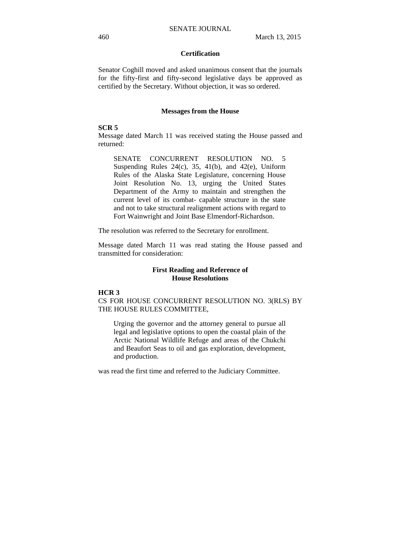## **Certification**

Senator Coghill moved and asked unanimous consent that the journals for the fifty-first and fifty-second legislative days be approved as certified by the Secretary. Without objection, it was so ordered.

#### **Messages from the House**

#### **SCR 5**

Message dated March 11 was received stating the House passed and returned:

SENATE CONCURRENT RESOLUTION NO. 5 Suspending Rules  $24(c)$ ,  $35$ ,  $41(b)$ , and  $42(e)$ , Uniform Rules of the Alaska State Legislature, concerning House Joint Resolution No. 13, urging the United States Department of the Army to maintain and strengthen the current level of its combat- capable structure in the state and not to take structural realignment actions with regard to Fort Wainwright and Joint Base Elmendorf-Richardson.

The resolution was referred to the Secretary for enrollment.

Message dated March 11 was read stating the House passed and transmitted for consideration:

#### **First Reading and Reference of House Resolutions**

# **HCR 3**

CS FOR HOUSE CONCURRENT RESOLUTION NO. 3(RLS) BY THE HOUSE RULES COMMITTEE,

Urging the governor and the attorney general to pursue all legal and legislative options to open the coastal plain of the Arctic National Wildlife Refuge and areas of the Chukchi and Beaufort Seas to oil and gas exploration, development, and production.

was read the first time and referred to the Judiciary Committee.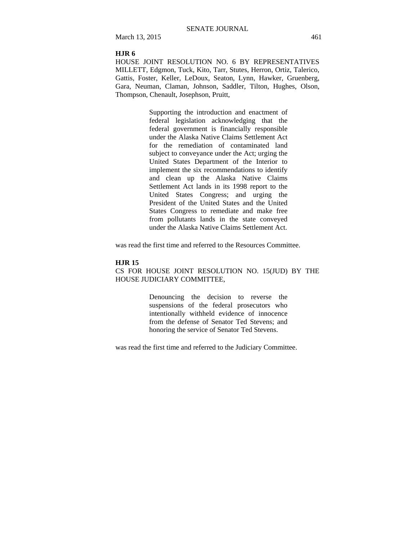March 13, 2015 461

#### **HJR 6**

HOUSE JOINT RESOLUTION NO. 6 BY REPRESENTATIVES MILLETT, Edgmon, Tuck, Kito, Tarr, Stutes, Herron, Ortiz, Talerico, Gattis, Foster, Keller, LeDoux, Seaton, Lynn, Hawker, Gruenberg, Gara, Neuman, Claman, Johnson, Saddler, Tilton, Hughes, Olson, Thompson, Chenault, Josephson, Pruitt,

> Supporting the introduction and enactment of federal legislation acknowledging that the federal government is financially responsible under the Alaska Native Claims Settlement Act for the remediation of contaminated land subject to conveyance under the Act; urging the United States Department of the Interior to implement the six recommendations to identify and clean up the Alaska Native Claims Settlement Act lands in its 1998 report to the United States Congress; and urging the President of the United States and the United States Congress to remediate and make free from pollutants lands in the state conveyed under the Alaska Native Claims Settlement Act.

was read the first time and referred to the Resources Committee.

#### **HJR 15**

CS FOR HOUSE JOINT RESOLUTION NO. 15(JUD) BY THE HOUSE JUDICIARY COMMITTEE,

> Denouncing the decision to reverse the suspensions of the federal prosecutors who intentionally withheld evidence of innocence from the defense of Senator Ted Stevens; and honoring the service of Senator Ted Stevens.

was read the first time and referred to the Judiciary Committee.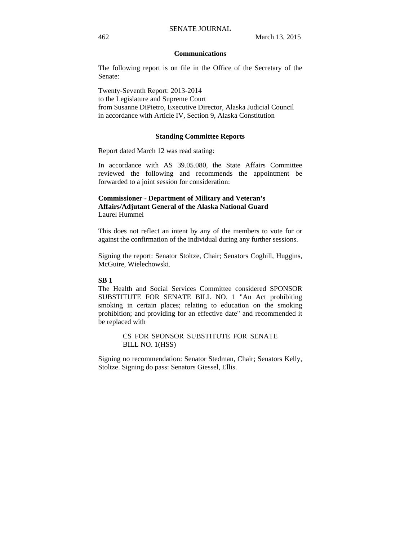#### **Communications**

The following report is on file in the Office of the Secretary of the Senate:

Twenty-Seventh Report: 2013-2014 to the Legislature and Supreme Court from Susanne DiPietro, Executive Director, Alaska Judicial Council in accordance with Article IV, Section 9, Alaska Constitution

#### **Standing Committee Reports**

Report dated March 12 was read stating:

In accordance with AS 39.05.080, the State Affairs Committee reviewed the following and recommends the appointment be forwarded to a joint session for consideration:

## **Commissioner - Department of Military and Veteran's Affairs/Adjutant General of the Alaska National Guard**  Laurel Hummel

This does not reflect an intent by any of the members to vote for or against the confirmation of the individual during any further sessions.

Signing the report: Senator Stoltze, Chair; Senators Coghill, Huggins, McGuire, Wielechowski.

#### **SB 1**

The Health and Social Services Committee considered SPONSOR SUBSTITUTE FOR SENATE BILL NO. 1 "An Act prohibiting smoking in certain places; relating to education on the smoking prohibition; and providing for an effective date" and recommended it be replaced with

> CS FOR SPONSOR SUBSTITUTE FOR SENATE BILL NO. 1(HSS)

Signing no recommendation: Senator Stedman, Chair; Senators Kelly, Stoltze. Signing do pass: Senators Giessel, Ellis.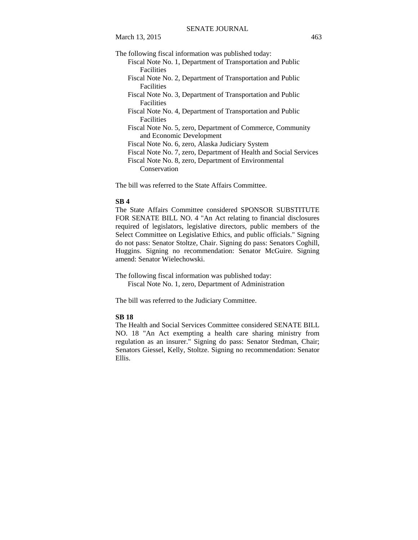- Fiscal Note No. 1, Department of Transportation and Public Facilities
- Fiscal Note No. 2, Department of Transportation and Public Facilities
- Fiscal Note No. 3, Department of Transportation and Public **Facilities**
- Fiscal Note No. 4, Department of Transportation and Public **Facilities**
- Fiscal Note No. 5, zero, Department of Commerce, Community and Economic Development
- Fiscal Note No. 6, zero, Alaska Judiciary System
- Fiscal Note No. 7, zero, Department of Health and Social Services

Fiscal Note No. 8, zero, Department of Environmental Conservation

The bill was referred to the State Affairs Committee.

#### **SB 4**

The State Affairs Committee considered SPONSOR SUBSTITUTE FOR SENATE BILL NO. 4 "An Act relating to financial disclosures required of legislators, legislative directors, public members of the Select Committee on Legislative Ethics, and public officials." Signing do not pass: Senator Stoltze, Chair. Signing do pass: Senators Coghill, Huggins. Signing no recommendation: Senator McGuire. Signing amend: Senator Wielechowski.

The following fiscal information was published today: Fiscal Note No. 1, zero, Department of Administration

The bill was referred to the Judiciary Committee.

## **SB 18**

The Health and Social Services Committee considered SENATE BILL NO. 18 "An Act exempting a health care sharing ministry from regulation as an insurer." Signing do pass: Senator Stedman, Chair; Senators Giessel, Kelly, Stoltze. Signing no recommendation: Senator Ellis.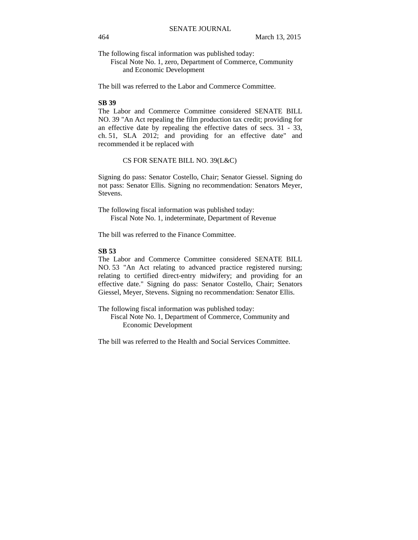The following fiscal information was published today:

Fiscal Note No. 1, zero, Department of Commerce, Community and Economic Development

The bill was referred to the Labor and Commerce Committee.

#### **SB 39**

The Labor and Commerce Committee considered SENATE BILL NO. 39 "An Act repealing the film production tax credit; providing for an effective date by repealing the effective dates of secs. 31 - 33, ch. 51, SLA 2012; and providing for an effective date" and recommended it be replaced with

#### CS FOR SENATE BILL NO. 39(L&C)

Signing do pass: Senator Costello, Chair; Senator Giessel. Signing do not pass: Senator Ellis. Signing no recommendation: Senators Meyer, Stevens.

The following fiscal information was published today: Fiscal Note No. 1, indeterminate, Department of Revenue

The bill was referred to the Finance Committee.

# **SB 53**

The Labor and Commerce Committee considered SENATE BILL NO. 53 "An Act relating to advanced practice registered nursing; relating to certified direct-entry midwifery; and providing for an effective date." Signing do pass: Senator Costello, Chair; Senators Giessel, Meyer, Stevens. Signing no recommendation: Senator Ellis.

The following fiscal information was published today:

Fiscal Note No. 1, Department of Commerce, Community and Economic Development

The bill was referred to the Health and Social Services Committee.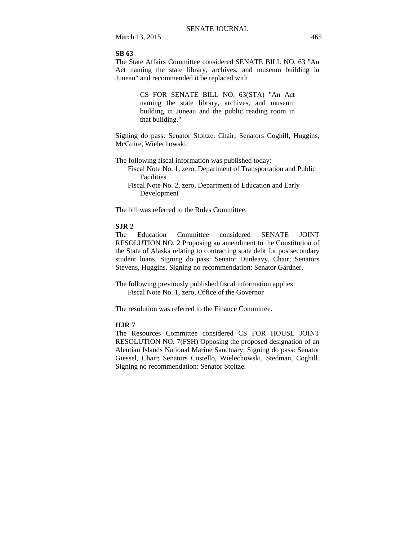March 13, 2015 465

#### **SB 63**

The State Affairs Committee considered SENATE BILL NO. 63 "An Act naming the state library, archives, and museum building in Juneau" and recommended it be replaced with

> CS FOR SENATE BILL NO. 63(STA) "An Act naming the state library, archives, and museum building in Juneau and the public reading room in that building."

Signing do pass: Senator Stoltze, Chair; Senators Coghill, Huggins, McGuire, Wielechowski.

- The following fiscal information was published today:
	- Fiscal Note No. 1, zero, Department of Transportation and Public Facilities
	- Fiscal Note No. 2, zero, Department of Education and Early Development

The bill was referred to the Rules Committee.

## **SJR 2**

The Education Committee considered SENATE JOINT RESOLUTION NO. 2 Proposing an amendment to the Constitution of the State of Alaska relating to contracting state debt for postsecondary student loans. Signing do pass: Senator Dunleavy, Chair; Senators Stevens, Huggins. Signing no recommendation: Senator Gardner.

The following previously published fiscal information applies: Fiscal Note No. 1, zero, Office of the Governor

The resolution was referred to the Finance Committee.

#### **HJR 7**

The Resources Committee considered CS FOR HOUSE JOINT RESOLUTION NO. 7(FSH) Opposing the proposed designation of an Aleutian Islands National Marine Sanctuary. Signing do pass: Senator Giessel, Chair; Senators Costello, Wielechowski, Stedman, Coghill. Signing no recommendation: Senator Stoltze.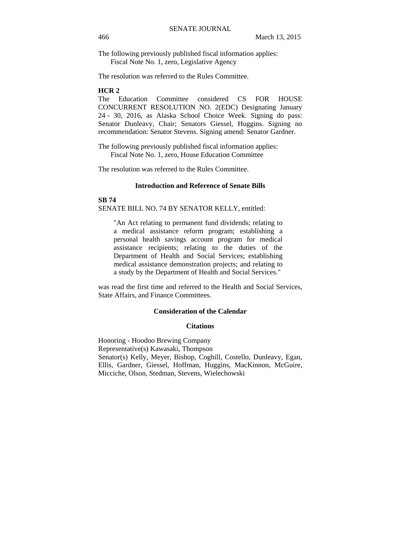The following previously published fiscal information applies: Fiscal Note No. 1, zero, Legislative Agency

The resolution was referred to the Rules Committee.

## **HCR 2**

The Education Committee considered CS FOR HOUSE CONCURRENT RESOLUTION NO. 2(EDC) Designating January 24 - 30, 2016, as Alaska School Choice Week. Signing do pass: Senator Dunleavy, Chair; Senators Giessel, Huggins. Signing no recommendation: Senator Stevens. Signing amend: Senator Gardner.

The following previously published fiscal information applies: Fiscal Note No. 1, zero, House Education Committee

The resolution was referred to the Rules Committee.

#### **Introduction and Reference of Senate Bills**

**SB 74** SENATE BILL NO. 74 BY SENATOR KELLY, entitled:

"An Act relating to permanent fund dividends; relating to a medical assistance reform program; establishing a personal health savings account program for medical assistance recipients; relating to the duties of the Department of Health and Social Services; establishing medical assistance demonstration projects; and relating to a study by the Department of Health and Social Services."

was read the first time and referred to the Health and Social Services, State Affairs, and Finance Committees.

#### **Consideration of the Calendar**

#### **Citations**

Honoring - Hoodoo Brewing Company Representative(s) Kawasaki, Thompson Senator(s) Kelly, Meyer, Bishop, Coghill, Costello, Dunleavy, Egan, Ellis, Gardner, Giessel, Hoffman, Huggins, MacKinnon, McGuire, Micciche, Olson, Stedman, Stevens, Wielechowski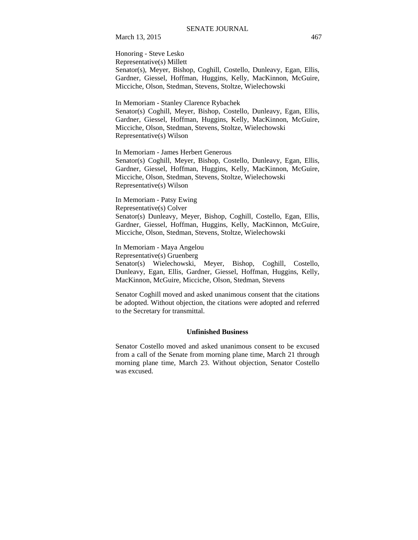March 13, 2015 467

Honoring - Steve Lesko Representative(s) Millett Senator(s), Meyer, Bishop, Coghill, Costello, Dunleavy, Egan, Ellis, Gardner, Giessel, Hoffman, Huggins, Kelly, MacKinnon, McGuire, Micciche, Olson, Stedman, Stevens, Stoltze, Wielechowski

In Memoriam - Stanley Clarence Rybachek

Senator(s) Coghill, Meyer, Bishop, Costello, Dunleavy, Egan, Ellis, Gardner, Giessel, Hoffman, Huggins, Kelly, MacKinnon, McGuire, Micciche, Olson, Stedman, Stevens, Stoltze, Wielechowski Representative(s) Wilson

In Memoriam - James Herbert Generous

Senator(s) Coghill, Meyer, Bishop, Costello, Dunleavy, Egan, Ellis, Gardner, Giessel, Hoffman, Huggins, Kelly, MacKinnon, McGuire, Micciche, Olson, Stedman, Stevens, Stoltze, Wielechowski Representative(s) Wilson

In Memoriam - Patsy Ewing Representative(s) Colver Senator(s) Dunleavy, Meyer, Bishop, Coghill, Costello, Egan, Ellis, Gardner, Giessel, Hoffman, Huggins, Kelly, MacKinnon, McGuire, Micciche, Olson, Stedman, Stevens, Stoltze, Wielechowski

In Memoriam - Maya Angelou Representative(s) Gruenberg Senator(s) Wielechowski, Meyer, Bishop, Coghill, Costello, Dunleavy, Egan, Ellis, Gardner, Giessel, Hoffman, Huggins, Kelly, MacKinnon, McGuire, Micciche, Olson, Stedman, Stevens

Senator Coghill moved and asked unanimous consent that the citations be adopted. Without objection, the citations were adopted and referred to the Secretary for transmittal.

#### **Unfinished Business**

Senator Costello moved and asked unanimous consent to be excused from a call of the Senate from morning plane time, March 21 through morning plane time, March 23. Without objection, Senator Costello was excused.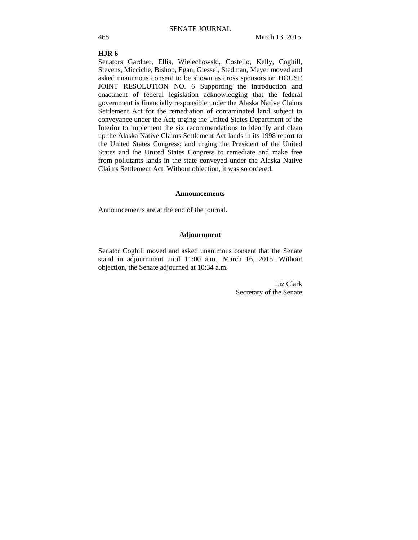#### **HJR 6**

Senators Gardner, Ellis, Wielechowski, Costello, Kelly, Coghill, Stevens, Micciche, Bishop, Egan, Giessel, Stedman, Meyer moved and asked unanimous consent to be shown as cross sponsors on HOUSE JOINT RESOLUTION NO. 6 Supporting the introduction and enactment of federal legislation acknowledging that the federal government is financially responsible under the Alaska Native Claims Settlement Act for the remediation of contaminated land subject to conveyance under the Act; urging the United States Department of the Interior to implement the six recommendations to identify and clean up the Alaska Native Claims Settlement Act lands in its 1998 report to the United States Congress; and urging the President of the United States and the United States Congress to remediate and make free from pollutants lands in the state conveyed under the Alaska Native Claims Settlement Act. Without objection, it was so ordered.

#### **Announcements**

Announcements are at the end of the journal.

#### **Adjournment**

Senator Coghill moved and asked unanimous consent that the Senate stand in adjournment until 11:00 a.m., March 16, 2015. Without objection, the Senate adjourned at 10:34 a.m.

> Liz Clark Secretary of the Senate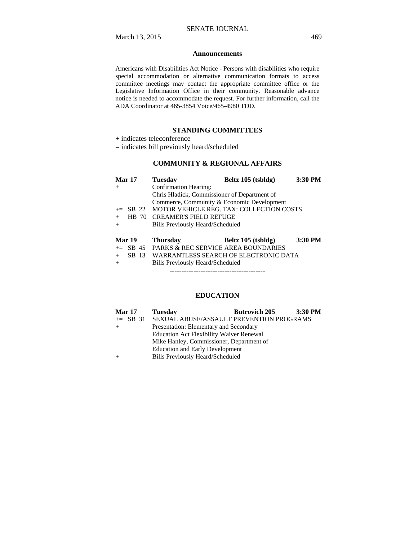#### **Announcements**

Americans with Disabilities Act Notice - Persons with disabilities who require special accommodation or alternative communication formats to access committee meetings may contact the appropriate committee office or the Legislative Information Office in their community. Reasonable advance notice is needed to accommodate the request. For further information, call the ADA Coordinator at 465-3854 Voice/465-4980 TDD.

#### **STANDING COMMITTEES**

+ indicates teleconference

= indicates bill previously heard/scheduled

# **COMMUNITY & REGIONAL AFFAIRS**

| Mar 17        | <b>Tuesday</b>                                  | Beltz 105 (tsbldg)                       | 3:30 PM |
|---------------|-------------------------------------------------|------------------------------------------|---------|
| $^{+}$        | <b>Confirmation Hearing:</b>                    |                                          |         |
|               | Chris Hladick, Commissioner of Department of    |                                          |         |
|               | Commerce, Community & Economic Development      |                                          |         |
| $\pm$ SB 22   |                                                 | MOTOR VEHICLE REG. TAX: COLLECTION COSTS |         |
|               | HB 70 CREAMER'S FIELD REFUGE                    |                                          |         |
| $^{+}$        | <b>Bills Previously Heard/Scheduled</b>         |                                          |         |
| <b>Mar 19</b> | <b>Thursday</b>                                 | Beltz 105 (tsbldg)                       | 3:30 PM |
|               | $\pm$ SB 45 PARKS & REC SERVICE AREA BOUNDARIES |                                          |         |
| SB 13<br>$+$  |                                                 | WARRANTLESS SEARCH OF ELECTRONIC DATA    |         |
| $^{+}$        | Bills Previously Heard/Scheduled                |                                          |         |
|               |                                                 |                                          |         |

## **EDUCATION**

| <b>Mar 17</b> | <b>Tuesday</b>                                    | <b>Butrovich 205</b> | $3:30$ PM |
|---------------|---------------------------------------------------|----------------------|-----------|
|               | += SB 31 SEXUAL ABUSE/ASSAULT PREVENTION PROGRAMS |                      |           |
|               | Presentation: Elementary and Secondary            |                      |           |
|               | <b>Education Act Flexibility Waiver Renewal</b>   |                      |           |
|               | Mike Hanley, Commissioner, Department of          |                      |           |
|               | <b>Education and Early Development</b>            |                      |           |
|               | <b>Bills Previously Heard/Scheduled</b>           |                      |           |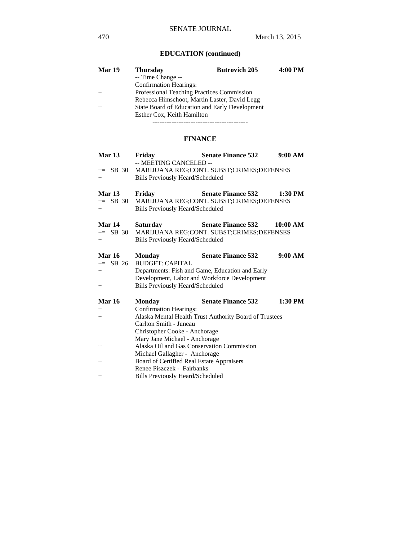# **EDUCATION (continued)**

| <b>Mar 19</b> | <b>Thursday</b>                                | <b>Butrovich 205</b> | 4:00 PM |
|---------------|------------------------------------------------|----------------------|---------|
|               | -- Time Change --                              |                      |         |
|               | <b>Confirmation Hearings:</b>                  |                      |         |
| $+$           | Professional Teaching Practices Commission     |                      |         |
|               | Rebecca Himschoot, Martin Laster, David Legg   |                      |         |
|               | State Board of Education and Early Development |                      |         |
|               | Esther Cox, Keith Hamilton                     |                      |         |
|               |                                                |                      |         |

# **FINANCE**

| Mar <sub>13</sub> | Fridav                                     | <b>Senate Finance 532</b>                              | 9:00 AM   |
|-------------------|--------------------------------------------|--------------------------------------------------------|-----------|
|                   | -- MEETING CANCELED --                     |                                                        |           |
| SB 30<br>$+=$     |                                            | MARIJUANA REG;CONT. SUBST;CRIMES;DEFENSES              |           |
| $+$               | <b>Bills Previously Heard/Scheduled</b>    |                                                        |           |
| Mar 13            | Friday                                     | <b>Senate Finance 532</b>                              | $1:30$ PM |
| $\pm$ SB 30       |                                            | MARIJUANA REG;CONT. SUBST;CRIMES;DEFENSES              |           |
| $+$               | <b>Bills Previously Heard/Scheduled</b>    |                                                        |           |
| Mar 14            | <b>Saturday</b>                            | <b>Senate Finance 532</b>                              | 10:00 AM  |
| $+=$ SB 30        |                                            | MARIJUANA REG;CONT. SUBST;CRIMES;DEFENSES              |           |
| $+$               | <b>Bills Previously Heard/Scheduled</b>    |                                                        |           |
|                   |                                            |                                                        |           |
| <b>Mar 16</b>     | <b>Monday</b>                              | <b>Senate Finance 532</b>                              | 9:00 AM   |
| $+=$ SB 26        | <b>BUDGET: CAPITAL</b>                     |                                                        |           |
| $+$               |                                            | Departments: Fish and Game, Education and Early        |           |
|                   |                                            | Development, Labor and Workforce Development           |           |
| $+$               | <b>Bills Previously Heard/Scheduled</b>    |                                                        |           |
| <b>Mar 16</b>     | Monday                                     | <b>Senate Finance 532</b>                              | 1:30 PM   |
| $^{+}$            | <b>Confirmation Hearings:</b>              |                                                        |           |
| $+$               |                                            | Alaska Mental Health Trust Authority Board of Trustees |           |
|                   | Carlton Smith - Juneau                     |                                                        |           |
|                   | Christopher Cooke - Anchorage              |                                                        |           |
|                   | Mary Jane Michael - Anchorage              |                                                        |           |
| $^{+}$            | Alaska Oil and Gas Conservation Commission |                                                        |           |
|                   | Michael Gallagher - Anchorage              |                                                        |           |
| $^{+}$            | Board of Certified Real Estate Appraisers  |                                                        |           |
|                   | Renee Piszczek - Fairbanks                 |                                                        |           |
| $^{+}$            | <b>Bills Previously Heard/Scheduled</b>    |                                                        |           |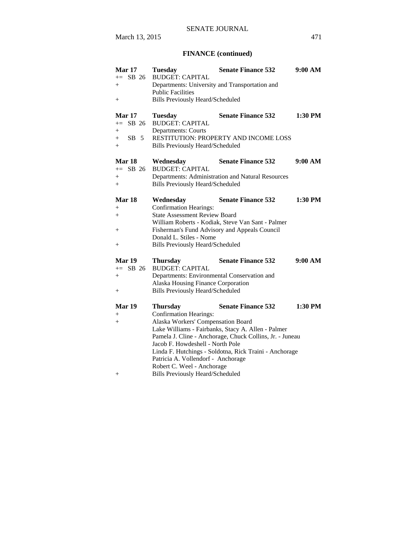# **FINANCE (continued)**

| <b>Mar 17</b><br>$+=$ SB 26<br>$+$<br>$^{+}$               | <b>Tuesday</b><br><b>BUDGET: CAPITAL</b><br>Departments: University and Transportation and<br><b>Public Facilities</b><br><b>Bills Previously Heard/Scheduled</b>                                                                         | <b>Senate Finance 532</b>                                                                                                                                                                             | 9:00 AM   |
|------------------------------------------------------------|-------------------------------------------------------------------------------------------------------------------------------------------------------------------------------------------------------------------------------------------|-------------------------------------------------------------------------------------------------------------------------------------------------------------------------------------------------------|-----------|
| <b>Mar 17</b><br>$+=$ SB 26<br>$+$<br>$SB$ 5<br>$+$<br>$+$ | <b>Tuesday</b><br><b>BUDGET: CAPITAL</b><br><b>Departments: Courts</b><br><b>Bills Previously Heard/Scheduled</b>                                                                                                                         | <b>Senate Finance 532</b><br>RESTITUTION: PROPERTY AND INCOME LOSS                                                                                                                                    | 1:30 PM   |
| Mar 18<br>$+=$ SB 26<br>$+$<br>$+$                         | Wednesday<br><b>BUDGET: CAPITAL</b><br><b>Bills Previously Heard/Scheduled</b>                                                                                                                                                            | <b>Senate Finance 532</b><br>Departments: Administration and Natural Resources                                                                                                                        | 9:00 AM   |
| Mar 18<br>$+$<br>$+$<br>$^+$<br>$+$                        | Wednesday<br><b>Confirmation Hearings:</b><br><b>State Assessment Review Board</b><br>Donald L. Stiles - Nome<br><b>Bills Previously Heard/Scheduled</b>                                                                                  | <b>Senate Finance 532</b><br>William Roberts - Kodiak, Steve Van Sant - Palmer<br>Fisherman's Fund Advisory and Appeals Council                                                                       | 1:30 PM   |
| Mar 19<br>$+=$ SB 26<br>$+$<br>$+$                         | <b>Thursday</b><br><b>BUDGET: CAPITAL</b><br>Departments: Environmental Conservation and<br>Alaska Housing Finance Corporation<br><b>Bills Previously Heard/Scheduled</b>                                                                 | <b>Senate Finance 532</b>                                                                                                                                                                             | 9:00 AM   |
| Mar 19<br>$+$<br>$^{+}$<br>$^{+}$                          | <b>Thursday</b><br><b>Confirmation Hearings:</b><br>Alaska Workers' Compensation Board<br>Jacob F. Howdeshell - North Pole<br>Patricia A. Vollendorf - Anchorage<br>Robert C. Weel - Anchorage<br><b>Bills Previously Heard/Scheduled</b> | <b>Senate Finance 532</b><br>Lake Williams - Fairbanks, Stacy A. Allen - Palmer<br>Pamela J. Cline - Anchorage, Chuck Collins, Jr. - Juneau<br>Linda F. Hutchings - Soldotna, Rick Traini - Anchorage | $1:30$ PM |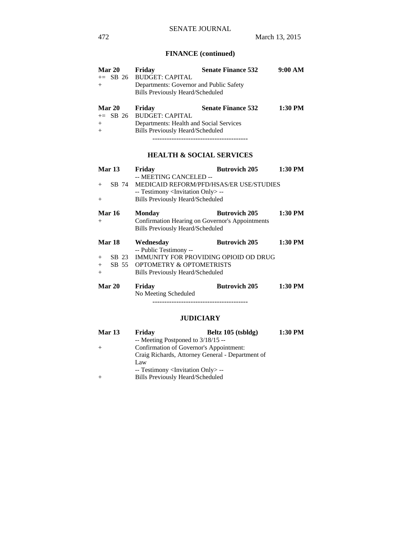# **FINANCE (continued)**

| <b>Mar 20</b> | Friday                                  | <b>Senate Finance 532</b> | 9:00 AM |
|---------------|-----------------------------------------|---------------------------|---------|
|               | $+=$ SB 26 BUDGET: CAPITAL              |                           |         |
| $+$           | Departments: Governor and Public Safety |                           |         |
|               | <b>Bills Previously Heard/Scheduled</b> |                           |         |
| Mar 20        | Friday                                  | <b>Senate Finance 532</b> | 1:30 PM |
|               | $+=$ SB 26 BUDGET: CAPITAL              |                           |         |
| $+$           | Departments: Health and Social Services |                           |         |

# **HEALTH & SOCIAL SERVICES**

----------------------------------------

+ Bills Previously Heard/Scheduled

| <b>Mar 13</b> | Friday                                            | <b>Butrovich 205</b> | 1:30 PM |
|---------------|---------------------------------------------------|----------------------|---------|
|               | -- MEETING CANCELED --                            |                      |         |
| $+$           | SB 74 MEDICAID REFORM/PFD/HSAS/ER USE/STUDIES     |                      |         |
|               | -- Testimony <invitation only=""> --</invitation> |                      |         |
| $^{+}$        | <b>Bills Previously Heard/Scheduled</b>           |                      |         |
| <b>Mar 16</b> | Monday                                            | <b>Butrovich 205</b> | 1:30 PM |
| $^{+}$        | Confirmation Hearing on Governor's Appointments   |                      |         |
|               | <b>Bills Previously Heard/Scheduled</b>           |                      |         |
| Mar 18        | Wednesday                                         | <b>Butrovich 205</b> | 1:30 PM |
|               | -- Public Testimony --                            |                      |         |
| $+$           | SB 23 IMMUNITY FOR PROVIDING OPIOID OD DRUG       |                      |         |
| $+$           | SB 55 OPTOMETRY & OPTOMETRISTS                    |                      |         |
| $^{+}$        | <b>Bills Previously Heard/Scheduled</b>           |                      |         |
| <b>Mar 20</b> | Friday                                            | <b>Butrovich 205</b> | 1:30 PM |
|               | No Meeting Scheduled                              |                      |         |
|               |                                                   |                      |         |

## **JUDICIARY**

| Mar 13 | Friday                                            | Beltz 105 (tsbldg)                               | 1:30 PM |
|--------|---------------------------------------------------|--------------------------------------------------|---------|
|        | -- Meeting Postponed to $3/18/15$ --              |                                                  |         |
| $+$    |                                                   | Confirmation of Governor's Appointment:          |         |
|        |                                                   | Craig Richards, Attorney General - Department of |         |
|        | Law                                               |                                                  |         |
|        | -- Testimony <invitation only=""> --</invitation> |                                                  |         |
| $+$    | <b>Bills Previously Heard/Scheduled</b>           |                                                  |         |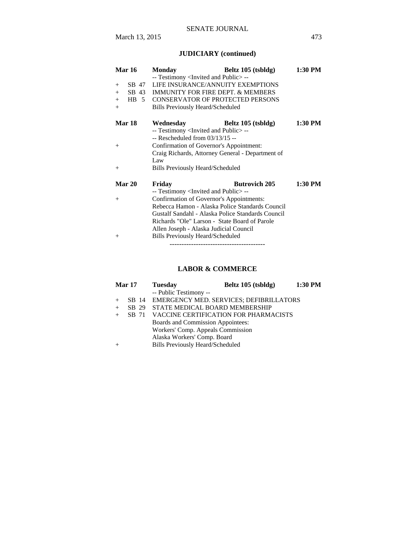# **JUDICIARY (continued)**

| <b>Mar 16</b>       | <b>Monday</b>                                       | Beltz 105 (tsbldg)   | 1:30 PM   |
|---------------------|-----------------------------------------------------|----------------------|-----------|
|                     | -- Testimony <invited and="" public="">--</invited> |                      |           |
| SB 47<br>$+$        | LIFE INSURANCE/ANNUITY EXEMPTIONS                   |                      |           |
| $+$                 | SB 43 IMMUNITY FOR FIRE DEPT. & MEMBERS             |                      |           |
| $HB \quad 5$<br>$+$ | <b>CONSERVATOR OF PROTECTED PERSONS</b>             |                      |           |
| $+$                 | <b>Bills Previously Heard/Scheduled</b>             |                      |           |
| <b>Mar 18</b>       | Wednesday                                           | Beltz 105 (tsbldg)   | 1:30 PM   |
|                     | -- Testimony <invited and="" public="">--</invited> |                      |           |
|                     | $-$ Rescheduled from $03/13/15 -$                   |                      |           |
| $+$                 | Confirmation of Governor's Appointment:             |                      |           |
|                     | Craig Richards, Attorney General - Department of    |                      |           |
|                     | Law                                                 |                      |           |
| $^{+}$              | <b>Bills Previously Heard/Scheduled</b>             |                      |           |
| <b>Mar 20</b>       | Friday                                              | <b>Butrovich 205</b> | $1:30$ PM |
|                     | -- Testimony <invited and="" public="">--</invited> |                      |           |
| $^{+}$              | Confirmation of Governor's Appointments:            |                      |           |
|                     | Rebecca Hamon - Alaska Police Standards Council     |                      |           |
|                     | Gustalf Sandahl - Alaska Police Standards Council   |                      |           |
|                     | Richards "Ole" Larson - State Board of Parole       |                      |           |
|                     | Allen Joseph - Alaska Judicial Council              |                      |           |
| $^{+}$              | Bills Previously Heard/Scheduled                    |                      |           |
|                     |                                                     |                      |           |

# **LABOR & COMMERCE**

| Mar 17 | <b>Tuesday</b>                                | Beltz 105 (tsbldg) | 1:30 PM |
|--------|-----------------------------------------------|--------------------|---------|
|        | -- Public Testimony --                        |                    |         |
|        | SB 14 EMERGENCY MED. SERVICES; DEFIBRILLATORS |                    |         |
| SB 29  | STATE MEDICAL BOARD MEMBERSHIP                |                    |         |
| SB 71  | VACCINE CERTIFICATION FOR PHARMACISTS         |                    |         |
|        | Boards and Commission Appointees:             |                    |         |
|        | Workers' Comp. Appeals Commission             |                    |         |
|        | Alaska Workers' Comp. Board                   |                    |         |
|        | <b>Bills Previously Heard/Scheduled</b>       |                    |         |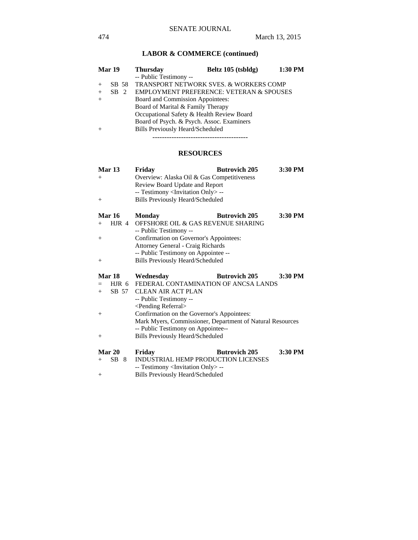# **LABOR & COMMERCE (continued)**

|     | <b>Mar 19</b> | <b>Thursday</b>                         | Beltz 105 (tsbldg)                                  | 1:30 PM |
|-----|---------------|-----------------------------------------|-----------------------------------------------------|---------|
|     |               | -- Public Testimony --                  |                                                     |         |
| $+$ | SB 58         |                                         | <b>TRANSPORT NETWORK SVES. &amp; WORKERS COMP</b>   |         |
| $+$ | $SB$ 2        |                                         | <b>EMPLOYMENT PREFERENCE: VETERAN &amp; SPOUSES</b> |         |
| $+$ |               | Board and Commission Appointees:        |                                                     |         |
|     |               | Board of Marital & Family Therapy       |                                                     |         |
|     |               |                                         | Occupational Safety & Health Review Board           |         |
|     |               |                                         | Board of Psych. & Psych. Assoc. Examiners           |         |
|     |               | <b>Bills Previously Heard/Scheduled</b> |                                                     |         |
|     |               |                                         |                                                     |         |

# **RESOURCES**

| <b>Mar 13</b><br>$^{+}$<br>$^{+}$ | <b>Butrovich 205</b><br>Friday<br>Overview: Alaska Oil & Gas Competitiveness<br>Review Board Update and Report<br>-- Testimony <invitation only=""> --<br/><b>Bills Previously Heard/Scheduled</b></invitation> | 3:30 PM |
|-----------------------------------|-----------------------------------------------------------------------------------------------------------------------------------------------------------------------------------------------------------------|---------|
| <b>Mar 16</b>                     | <b>Butrovich 205</b><br>Monday                                                                                                                                                                                  | 3:30 PM |
| HJR 4<br>$^{+}$                   | OFFSHORE OIL & GAS REVENUE SHARING                                                                                                                                                                              |         |
|                                   | -- Public Testimony --                                                                                                                                                                                          |         |
| $^{+}$                            | Confirmation on Governor's Appointees:<br>Attorney General - Craig Richards                                                                                                                                     |         |
|                                   | -- Public Testimony on Appointee --                                                                                                                                                                             |         |
| $^{+}$                            | <b>Bills Previously Heard/Scheduled</b>                                                                                                                                                                         |         |
|                                   |                                                                                                                                                                                                                 |         |
| Mar 18                            | Wednesday<br><b>Butrovich 205</b>                                                                                                                                                                               | 3:30 PM |
|                                   | HJR 6 FEDERAL CONTAMINATION OF ANCSA LANDS                                                                                                                                                                      |         |
| SB 57<br>$+$                      | <b>CLEAN AIR ACT PLAN</b>                                                                                                                                                                                       |         |
|                                   | -- Public Testimony --                                                                                                                                                                                          |         |
|                                   | <pending referral=""></pending>                                                                                                                                                                                 |         |
| $^{+}$                            | Confirmation on the Governor's Appointees:                                                                                                                                                                      |         |
|                                   | Mark Myers, Commissioner, Department of Natural Resources<br>-- Public Testimony on Appointee--                                                                                                                 |         |
| $^{+}$                            | <b>Bills Previously Heard/Scheduled</b>                                                                                                                                                                         |         |
| Mar 20                            | <b>Butrovich 205</b>                                                                                                                                                                                            | 3:30 PM |
| SB 8<br>$^{+}$                    | Friday<br><b>INDUSTRIAL HEMP PRODUCTION LICENSES</b>                                                                                                                                                            |         |
|                                   | -- Testimony <invitation only=""> --<br/><b>Bills Previously Heard/Scheduled</b></invitation>                                                                                                                   |         |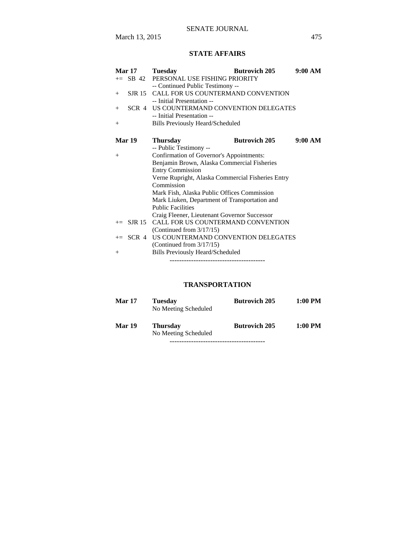# **STATE AFFAIRS**

| <b>Mar 17</b> | <b>Tuesday</b>                                    | <b>Butrovich 205</b> | 9:00 AM |
|---------------|---------------------------------------------------|----------------------|---------|
|               | += SB 42 PERSONAL USE FISHING PRIORITY            |                      |         |
|               | -- Continued Public Testimony --                  |                      |         |
| $+$           | SJR 15 CALL FOR US COUNTERMAND CONVENTION         |                      |         |
|               | -- Initial Presentation --                        |                      |         |
| $+$           | SCR 4 US COUNTERMAND CONVENTION DELEGATES         |                      |         |
|               | -- Initial Presentation --                        |                      |         |
| $^{+}$        | Bills Previously Heard/Scheduled                  |                      |         |
|               |                                                   |                      |         |
| Mar 19        | <b>Thursday</b>                                   | <b>Butrovich 205</b> | 9:00 AM |
|               | -- Public Testimony --                            |                      |         |
| $^{+}$        | Confirmation of Governor's Appointments:          |                      |         |
|               | Benjamin Brown, Alaska Commercial Fisheries       |                      |         |
|               | <b>Entry Commission</b>                           |                      |         |
|               | Verne Rupright, Alaska Commercial Fisheries Entry |                      |         |
|               | Commission                                        |                      |         |
|               | Mark Fish, Alaska Public Offices Commission       |                      |         |
|               | Mark Liuken, Department of Transportation and     |                      |         |
|               | <b>Public Facilities</b>                          |                      |         |
|               | Craig Fleener, Lieutenant Governor Successor      |                      |         |
| $+=$ SJR 15   | CALL FOR US COUNTERMAND CONVENTION                |                      |         |
|               | (Continued from $3/17/15$ )                       |                      |         |
|               | += SCR 4 US COUNTERMAND CONVENTION DELEGATES      |                      |         |
|               | (Continued from $3/17/15$ )                       |                      |         |
| $^{+}$        | <b>Bills Previously Heard/Scheduled</b>           |                      |         |
|               |                                                   |                      |         |

# **TRANSPORTATION**

| <b>Mar 17</b> | <b>Tuesday</b><br>No Meeting Scheduled  | <b>Butrovich 205</b> | 1:00 PM   |
|---------------|-----------------------------------------|----------------------|-----------|
| Mar 19        | <b>Thursday</b><br>No Meeting Scheduled | <b>Butrovich 205</b> | $1:00$ PM |
|               |                                         |                      |           |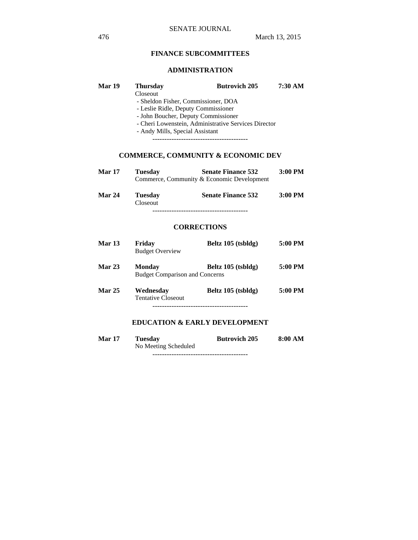# **FINANCE SUBCOMMITTEES**

## **ADMINISTRATION**

| Mar 19        | <b>Thursday</b>                 | <b>Butrovich 205</b>                                 | 7:30 AM |
|---------------|---------------------------------|------------------------------------------------------|---------|
|               | Closeout                        |                                                      |         |
|               |                                 | - Sheldon Fisher, Commissioner, DOA                  |         |
|               |                                 | - Leslie Ridle, Deputy Commissioner                  |         |
|               |                                 |                                                      |         |
|               |                                 | - John Boucher, Deputy Commissioner                  |         |
|               |                                 | - Cheri Lowenstein, Administrative Services Director |         |
|               | - Andy Mills, Special Assistant |                                                      |         |
|               |                                 | -----------------------------------                  |         |
|               |                                 |                                                      |         |
|               |                                 |                                                      |         |
|               |                                 | <b>COMMERCE, COMMUNITY &amp; ECONOMIC DEV</b>        |         |
|               |                                 |                                                      |         |
| <b>Mar 17</b> | <b>Tuesday</b>                  | <b>Senate Finance 532</b>                            | 3:00 PM |
|               |                                 | Commerce, Community & Economic Development           |         |
| <b>Mar 24</b> | <b>Tuesday</b>                  | <b>Senate Finance 532</b>                            | 3:00 PM |
|               | Closeout                        |                                                      |         |
|               |                                 |                                                      |         |
|               |                                 |                                                      |         |
|               |                                 |                                                      |         |
|               |                                 | <b>CORRECTIONS</b>                                   |         |
|               |                                 |                                                      |         |

# **Mar 13 Friday Beltz 105 (tsbldg) 5:00 PM**  Budget Overview **Mar 23 Monday Beltz 105 (tsbldg) 5:00 PM**  Budget Comparison and Concerns **Mar 25 Wednesday Beltz 105 (tsbldg) 5:00 PM**  Tentative Closeout ----------------------------------------

# **EDUCATION & EARLY DEVELOPMENT**

| <b>Mar 17</b> | Tuesday              | <b>Butrovich 205</b> | 8:00 AM |
|---------------|----------------------|----------------------|---------|
|               | No Meeting Scheduled |                      |         |

----------------------------------------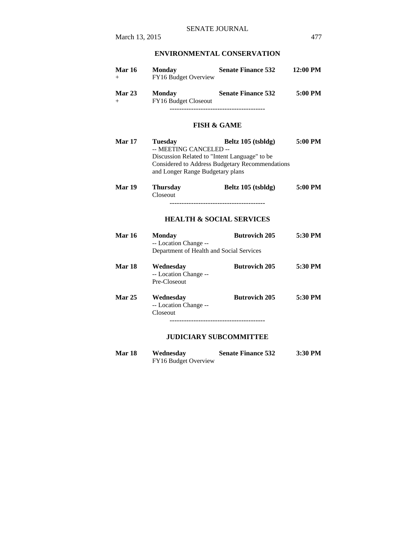# **ENVIRONMENTAL CONSERVATION**

| <b>Mar 16</b> | <b>Monday</b><br>FY16 Budget Overview        | <b>Senate Finance 532</b> | 12:00 PM |
|---------------|----------------------------------------------|---------------------------|----------|
| Mar $23$      | <b>Monday</b><br><b>FY16 Budget Closeout</b> | <b>Senate Finance 532</b> | 5:00 PM  |
|               |                                              |                           |          |

## **FISH & GAME**

| <b>Mar 17</b> | <b>Tuesday</b>                                | Beltz 105 (tsbldg)                              | 5:00 PM |
|---------------|-----------------------------------------------|-------------------------------------------------|---------|
|               | -- MEETING CANCELED --                        |                                                 |         |
|               | Discussion Related to "Intent Language" to be |                                                 |         |
|               |                                               | Considered to Address Budgetary Recommendations |         |
|               | and Longer Range Budgetary plans              |                                                 |         |
|               |                                               |                                                 |         |
| Mar 19        | <b>Thursday</b>                               | Beltz 105 (tsbldg)                              | 5:00 PM |
|               | Closeout                                      |                                                 |         |
|               |                                               |                                                 |         |
|               |                                               |                                                 |         |
|               |                                               |                                                 |         |
|               | <b>HEALTH &amp; SOCIAL SERVICES</b>           |                                                 |         |
| <b>Mar 16</b> | <b>Monday</b>                                 | <b>Butrovich 205</b>                            | 5:30 PM |
|               |                                               |                                                 |         |
|               | -- Location Change --                         |                                                 |         |
|               | Department of Health and Social Services      |                                                 |         |
| <b>Mar 18</b> |                                               | <b>Butrovich 205</b>                            | 5:30 PM |
|               | Wednesday                                     |                                                 |         |
|               | -- Location Change --                         |                                                 |         |
|               | Pre-Closeout                                  |                                                 |         |
|               |                                               |                                                 |         |
| <b>Mar 25</b> | Wednesday                                     | <b>Butrovich 205</b>                            | 5:30 PM |
|               | -- Location Change --                         |                                                 |         |
|               | Closeout                                      |                                                 |         |
|               |                                               | -------------------------------------           |         |
|               |                                               |                                                 |         |

## **JUDICIARY SUBCOMMITTEE**

| <b>Mar 18</b> | Wednesday            | <b>Senate Finance 532</b> | 3:30 PM |
|---------------|----------------------|---------------------------|---------|
|               | FY16 Budget Overview |                           |         |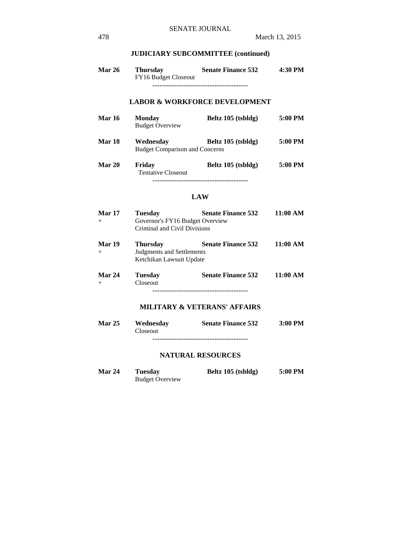## **JUDICIARY SUBCOMMITTEE (continued)**

**Mar 26 Thursday Senate Finance 532 4:30 PM**  FY16 Budget Closeout ----------------------------------------

# **LABOR & WORKFORCE DEVELOPMENT**

| <b>Mar 16</b> | <b>Monday</b><br><b>Budget Overview</b>            | Beltz 105 (tsbldg) | 5:00 PM |
|---------------|----------------------------------------------------|--------------------|---------|
| Mar 18        | Wednesdav<br><b>Budget Comparison and Concerns</b> | Beltz 105 (tsbldg) | 5:00 PM |
| Mar 20        | Friday                                             | Beltz 105 (tsbldg) | 5:00 PM |

 Tentative Closeout ----------------------------------------

#### **LAW**

| <b>Mar 17</b> | <b>Tuesday</b>                  | <b>Senate Finance 532</b> | 11:00 AM |
|---------------|---------------------------------|---------------------------|----------|
| $+$           | Governor's FY16 Budget Overview |                           |          |
|               | Criminal and Civil Divisions    |                           |          |
| <b>Mar 19</b> | <b>Thursday</b>                 | <b>Senate Finance 532</b> | 11:00 AM |
| $+$           | Judgments and Settlements       |                           |          |
|               | Ketchikan Lawsuit Update        |                           |          |

**Mar 24 Tuesday Senate Finance 532 11:00 AM**  + Closeout ----------------------------------------

## **MILITARY & VETERANS' AFFAIRS**

| <b>Mar 25</b> | Wednesday | <b>Senate Finance 532</b> | $3:00$ PM |
|---------------|-----------|---------------------------|-----------|
|               | Closeout  |                           |           |
|               |           |                           |           |

#### **NATURAL RESOURCES**

| <b>Mar 24</b> | Tuesday                | Beltz 105 (tsbldg) | 5:00 PM |
|---------------|------------------------|--------------------|---------|
|               | <b>Budget Overview</b> |                    |         |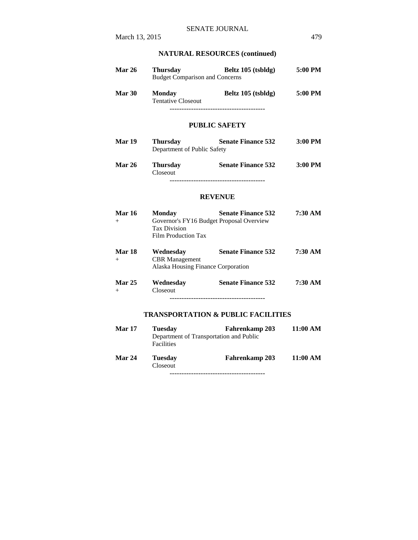# **NATURAL RESOURCES (continued)**

| <b>Mar 26</b> | Thursday<br><b>Budget Comparison and Concerns</b> | Beltz 105 (tsbldg) | 5:00 PM |
|---------------|---------------------------------------------------|--------------------|---------|
| <b>Mar 30</b> | <b>Monday</b><br><b>Tentative Closeout</b>        | Beltz 105 (tsbldg) | 5:00 PM |
|               |                                                   |                    |         |

# **PUBLIC SAFETY**

| <b>Mar 19</b> | <b>Thursday</b><br>Department of Public Safety | <b>Senate Finance 532</b> | $3:00$ PM |
|---------------|------------------------------------------------|---------------------------|-----------|
| <b>Mar 26</b> | <b>Thursday</b><br>Closeout                    | <b>Senate Finance 532</b> | $3:00$ PM |

----------------------------------------

#### **REVENUE**

| <b>Mar 16</b><br>$^{+}$ | <b>Monday</b><br>Governor's FY16 Budget Proposal Overview<br><b>Tax Division</b><br>Film Production Tax | <b>Senate Finance 532</b> | 7:30 AM |
|-------------------------|---------------------------------------------------------------------------------------------------------|---------------------------|---------|
| Mar 18<br>$^{+}$        | Wednesday<br><b>CBR</b> Management                                                                      | <b>Senate Finance 532</b> | 7:30 AM |
|                         | Alaska Housing Finance Corporation                                                                      |                           |         |
| <b>Mar 25</b>           | Wednesday                                                                                               | <b>Senate Finance 532</b> | 7:30 AM |
| $^{+}$                  | Closeout                                                                                                |                           |         |
|                         |                                                                                                         |                           |         |

# **TRANSPORTATION & PUBLIC FACILITIES**

| <b>Mar 17</b> | <b>Tuesday</b>             | <b>Fahrenkamp 203</b><br>Department of Transportation and Public | 11:00 AM |
|---------------|----------------------------|------------------------------------------------------------------|----------|
|               | Facilities                 |                                                                  |          |
| Mar 24        | <b>Tuesday</b><br>Closeout | <b>Fahrenkamp 203</b>                                            | 11:00 AM |
|               |                            |                                                                  |          |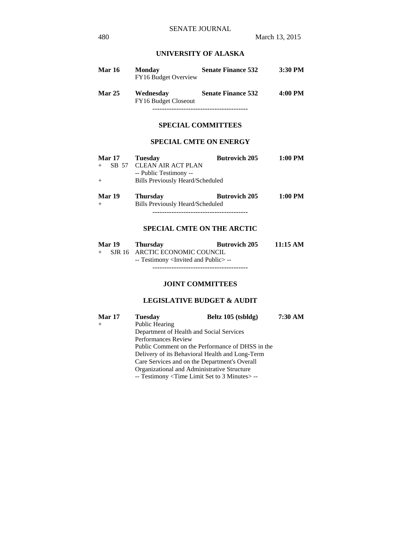# **UNIVERSITY OF ALASKA**

| <b>Mar 16</b> | <b>Monday</b><br>FY16 Budget Overview    | <b>Senate Finance 532</b> | 3:30 PM |
|---------------|------------------------------------------|---------------------------|---------|
| <b>Mar 25</b> | Wednesday<br><b>FY16 Budget Closeout</b> | <b>Senate Finance 532</b> | 4:00 PM |
|               |                                          |                           |         |

# **SPECIAL COMMITTEES**

## **SPECIAL CMTE ON ENERGY**

| <b>Mar 17</b> | <b>Tuesday</b>                   | <b>Butrovich 205</b> | 1:00 PM |
|---------------|----------------------------------|----------------------|---------|
| SB 57         | <b>CLEAN AIR ACT PLAN</b>        |                      |         |
|               | -- Public Testimony --           |                      |         |
| $+$           | Bills Previously Heard/Scheduled |                      |         |
| <b>Mar 19</b> | <b>Thursday</b>                  | <b>Butrovich 205</b> | 1:00 PM |
|               | Bills Previously Heard/Scheduled |                      |         |
|               |                                  |                      |         |

## **SPECIAL CMTE ON THE ARCTIC**

| Mar 19 | Thursdav                                            | <b>Butrovich 205</b> | 11:15 AM |
|--------|-----------------------------------------------------|----------------------|----------|
|        | + SJR 16 ARCTIC ECONOMIC COUNCIL                    |                      |          |
|        | -- Testimony <invited and="" public="">--</invited> |                      |          |
|        |                                                     |                      |          |

#### **JOINT COMMITTEES**

# **LEGISLATIVE BUDGET & AUDIT**

| Mar 17 | <b>Tuesday</b>                                   | Beltz 105 (tsbldg) | 7:30 AM |
|--------|--------------------------------------------------|--------------------|---------|
| $+$    | Public Hearing                                   |                    |         |
|        | Department of Health and Social Services         |                    |         |
|        | <b>Performances Review</b>                       |                    |         |
|        | Public Comment on the Performance of DHSS in the |                    |         |
|        | Delivery of its Behavioral Health and Long-Term  |                    |         |
|        | Care Services and on the Department's Overall    |                    |         |
|        | Organizational and Administrative Structure      |                    |         |
|        | -- Testimony < Time Limit Set to 3 Minutes > --  |                    |         |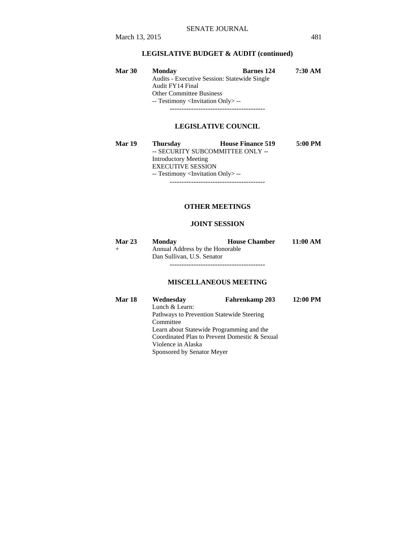# **LEGISLATIVE BUDGET & AUDIT (continued)**

| <b>Mar 30</b> | <b>Monday</b>                                       | <b>Barnes</b> 124 | 7:30 AM |
|---------------|-----------------------------------------------------|-------------------|---------|
|               | <b>Audits - Executive Session: Statewide Single</b> |                   |         |
|               | Audit FY14 Final                                    |                   |         |
|               | <b>Other Committee Business</b>                     |                   |         |
|               | -- Testimony <invitation only=""> --</invitation>   |                   |         |
|               |                                                     |                   |         |

#### **LEGISLATIVE COUNCIL**

| <b>Mar 19</b> | <b>Thursday</b>                                   | <b>House Finance 519</b>         | 5:00 PM |
|---------------|---------------------------------------------------|----------------------------------|---------|
|               |                                                   | -- SECURITY SUBCOMMITTEE ONLY -- |         |
|               | <b>Introductory Meeting</b>                       |                                  |         |
|               | <b>EXECUTIVE SESSION</b>                          |                                  |         |
|               | -- Testimony <invitation only=""> --</invitation> |                                  |         |
|               |                                                   |                                  |         |

## **OTHER MEETINGS**

# **JOINT SESSION**

| <b>Mar 23</b> | <b>Monday</b>                   | <b>House Chamber</b> | 11:00 AM |
|---------------|---------------------------------|----------------------|----------|
| $^{+}$        | Annual Address by the Honorable |                      |          |
|               | Dan Sullivan, U.S. Senator      |                      |          |
|               |                                 |                      |          |

# **MISCELLANEOUS MEETING**

| <b>Mar 18</b> | Wednesday                                     | Fahrenkamp 203 | 12:00 PM |
|---------------|-----------------------------------------------|----------------|----------|
|               | Lunch & Learn:                                |                |          |
|               | Pathways to Prevention Statewide Steering     |                |          |
|               | Committee                                     |                |          |
|               | Learn about Statewide Programming and the     |                |          |
|               | Coordinated Plan to Prevent Domestic & Sexual |                |          |
|               | Violence in Alaska                            |                |          |
|               | Sponsored by Senator Meyer                    |                |          |